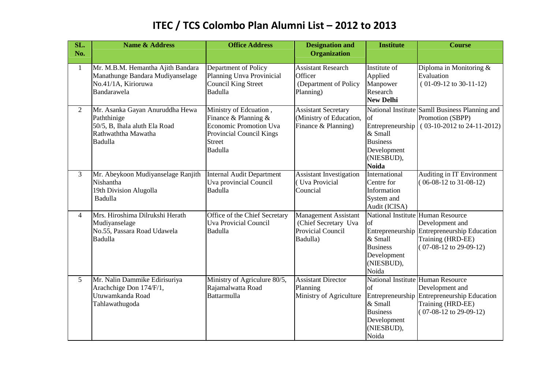## **ITEC / TCS Colombo Plan Alumni List – 2012 to 2013**

| SL.            | <b>Name &amp; Address</b>                                                                                         | <b>Office Address</b>                                                                                                              | <b>Designation and</b>                                                                      | <b>Institute</b>                                                                                            | <b>Course</b>                                                                                                    |
|----------------|-------------------------------------------------------------------------------------------------------------------|------------------------------------------------------------------------------------------------------------------------------------|---------------------------------------------------------------------------------------------|-------------------------------------------------------------------------------------------------------------|------------------------------------------------------------------------------------------------------------------|
| No.            |                                                                                                                   |                                                                                                                                    | <b>Organization</b>                                                                         |                                                                                                             |                                                                                                                  |
| $\mathbf{1}$   | Mr. M.B.M. Hemantha Ajith Bandara<br>Manathunge Bandara Mudiyanselage<br>No.41/1A, Kirioruwa<br>Bandarawela       | Department of Policy<br>Planning Unva Provinicial<br><b>Council King Street</b><br>Badulla                                         | <b>Assistant Research</b><br>Officer<br>(Department of Policy<br>Planning)                  | Institute of<br>Applied<br>Manpower<br>Research<br><b>New Delhi</b>                                         | Diploma in Monitoring &<br>Evaluation<br>$(01-09-12 \text{ to } 30-11-12)$                                       |
| $\overline{2}$ | Mr. Asanka Gayan Anuruddha Hewa<br>Paththinige<br>50/5, B, Ihala aluth Ela Road<br>Rathwaththa Mawatha<br>Badulla | Ministry of Edcuation,<br>Finance & Planning $&$<br>Economic Promotion Uva<br>Provincial Council Kings<br><b>Street</b><br>Badulla | <b>Assistant Secretary</b><br>(Ministry of Education,<br>Finance & Planning)                | of<br>Entrepreneurship<br>& Small<br><b>Business</b><br>Development<br>(NIESBUD),<br><b>Noida</b>           | National Institute Samll Business Planning and<br>Promotion (SBPP)<br>$(03-10-2012$ to 24-11-2012)               |
| 3              | Mr. Abeykoon Mudiyanselage Ranjith<br>Nishantha<br>19th Division Alugolla<br>Badulla                              | <b>Internal Audit Department</b><br>Uva provincial Council<br>Badulla                                                              | <b>Assistant Investigation</b><br>(Uva Provicial<br>Councial                                | International<br>Centre for<br>Information<br>System and<br>Audit (ICISA)                                   | Auditing in IT Environment<br>$(06-08-12 \text{ to } 31-08-12)$                                                  |
| $\overline{4}$ | Mrs. Hiroshima Dilrukshi Herath<br>Mudiyanselage<br>No.55, Passara Road Udawela<br>Badulla                        | Office of the Chief Secretary<br><b>Uva Provicial Council</b><br>Badulla                                                           | <b>Management Assistant</b><br>(Chief Secretary Uva<br><b>Provicial Council</b><br>Badulla) | National Institute Human Resource<br>of<br>& Small<br><b>Business</b><br>Development<br>(NIESBUD),<br>Noida | Development and<br>Entrepreneurship Entrepreneurship Education<br>Training (HRD-EE)<br>(07-08-12 to 29-09-12)    |
| 5              | Mr. Nalin Dammike Edirisuriya<br>Arachchige Don 174/F/1,<br>Utuwamkanda Road<br>Tahlawathugoda                    | Ministry of Agriculure 80/5,<br>Rajamalwatta Road<br><b>Battarmulla</b>                                                            | <b>Assistant Director</b><br>Planning<br>Ministry of Agriculture                            | National Institute Human Resource<br>of<br>& Small<br><b>Business</b><br>Development<br>(NIESBUD),<br>Noida | Development and<br>Entrepreneurship Entrepreneurship Education<br>Training (HRD-EE)<br>$(07-08-12)$ to 29-09-12) |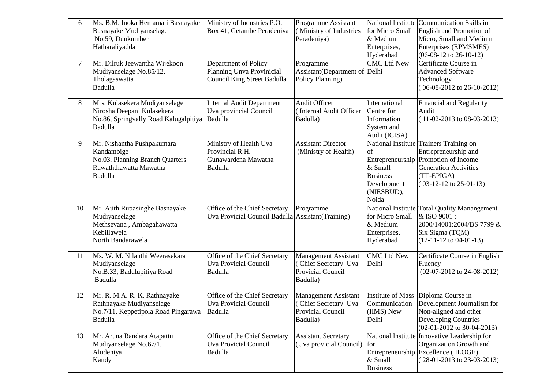| 6<br>$\overline{7}$ | Ms. B.M. Inoka Hemamali Basnayake<br>Basnayake Mudiyanselage<br>No.59, Dunkumber<br>Hatharaliyadda<br>Mr. Dilruk Jeewantha Wijekoon<br>Mudiyanselage No.85/12,<br>Tholagaswatta<br>Badulla | Ministry of Industries P.O.<br>Box 41, Getambe Peradeniya<br>Department of Policy<br>Planning Unva Provinicial<br><b>Council King Street Badulla</b> | Programme Assistant<br>(Ministry of Industries<br>Peradeniya)<br>Programme<br>Assistant(Department of Delhi<br>Policy Planning) | for Micro Small<br>& Medium<br>Enterprises,<br>Hyderabad<br>CMC Ltd New   | National Institute Communication Skills in<br>English and Promotion of<br>Micro, Small and Medium<br>Enterprises (EPMSMES)<br>$(06-08-12)$ to 26-10-12)<br>Certificate Course in<br><b>Advanced Software</b><br>Technology<br>$(06-08-2012)$ to 26-10-2012) |
|---------------------|--------------------------------------------------------------------------------------------------------------------------------------------------------------------------------------------|------------------------------------------------------------------------------------------------------------------------------------------------------|---------------------------------------------------------------------------------------------------------------------------------|---------------------------------------------------------------------------|-------------------------------------------------------------------------------------------------------------------------------------------------------------------------------------------------------------------------------------------------------------|
| 8                   | Mrs. Kulasekera Mudiyanselage<br>Nirosha Deepani Kulasekera<br>No.86, Springvally Road Kalugalpitiya<br>Badulla                                                                            | <b>Internal Audit Department</b><br>Uva provincial Council<br>Badulla                                                                                | <b>Audit Officer</b><br>(Internal Audit Officer<br>Badulla)                                                                     | International<br>Centre for<br>Information<br>System and<br>Audit (ICISA) | Financial and Regularity<br>Audit<br>$(11-02-2013$ to 08-03-2013)                                                                                                                                                                                           |
| 9                   | Mr. Nishantha Pushpakumara<br>Kandambige<br>No.03, Planning Branch Quarters<br>Rawaththawatta Mawatha<br>Badulla                                                                           | Ministry of Health Uva<br>Provincial R.H.<br>Gunawardena Mawatha<br>Badulla                                                                          | <b>Assistant Director</b><br>(Ministry of Health)                                                                               | of<br>& Small<br><b>Business</b><br>Development<br>(NIESBUD),<br>Noida    | National Institute Trainers Training on<br>Entrepreneurship and<br>Entrepreneurship Promotion of Income<br><b>Generation Activities</b><br>$(TT-EPIGA)$<br>$(03-12-12 \text{ to } 25-01-13)$                                                                |
| 10                  | Mr. Ajith Rupasinghe Basnayake<br>Mudiyanselage<br>Methsevana, Ambagahawatta<br>Kebillawela<br>North Bandarawela                                                                           | Office of the Chief Secretary<br>Uva Provicial Council Badulla Assistant (Training)                                                                  | Programme                                                                                                                       | for Micro Small<br>& Medium<br>Enterprises,<br>Hyderabad                  | National Institute Total Quality Manangement<br>& ISO 9001 :<br>2000/14001:2004/BS 7799 &<br>Six Sigma (TQM)<br>$(12-11-12 \text{ to } 04-01-13)$                                                                                                           |
| 11                  | Ms. W. M. Nilanthi Weerasekara<br>Mudiyanselage<br>No.B.33, Badulupitiya Road<br>Badulla                                                                                                   | Office of the Chief Secretary<br><b>Uva Provicial Council</b><br>Badulla                                                                             | <b>Management Assistant</b><br>(Chief Secretary Uva<br><b>Provicial Council</b><br>Badulla)                                     | <b>CMC</b> Ltd New<br>Delhi                                               | Certificate Course in English<br>Fluency<br>$(02-07-2012$ to 24-08-2012)                                                                                                                                                                                    |
| 12                  | Mr. R. M.A. R. K. Rathnayake<br>Rathnayake Mudiyanselage<br>No.7/11, Keppetipola Road Pingarawa<br>Badulla                                                                                 | Office of the Chief Secretary<br><b>Uva Provicial Council</b><br>Badulla                                                                             | <b>Management Assistant</b><br>(Chief Secretary Uva<br>Provicial Council<br>Badulla)                                            | <b>Institute of Mass</b><br>Communication<br>(IIMS) New<br>Delhi          | Diploma Course in<br>Development Journalism for<br>Non-aligned and other<br>Developing Countries<br>$(02-01-2012 \text{ to } 30-04-2013)$                                                                                                                   |
| 13                  | Mr. Aruna Bandara Atapattu<br>Mudiyanselage No.67/1,<br>Aludeniya<br>Kandy                                                                                                                 | Office of the Chief Secretary<br><b>Uva Provicial Council</b><br>Badulla                                                                             | <b>Assistant Secretary</b><br>(Uva provicial Council)                                                                           | for<br>$&$ Small<br><b>Business</b>                                       | National Institute Innovative Leadership for<br>Organization Growth and<br>Entrepreneurship Excellence (ILOGE)<br>$(28-01-2013$ to 23-03-2013)                                                                                                              |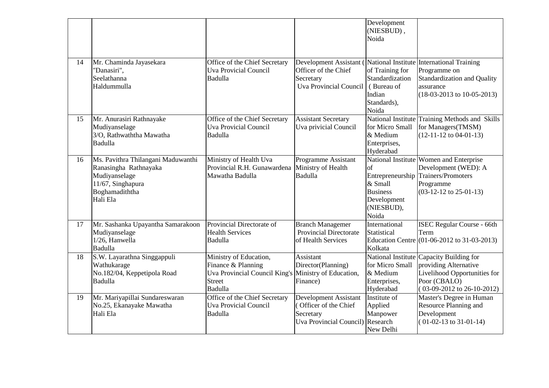|    |                                                                                                                                 |                                                                                                                                  |                                                                                                 | Development<br>(NIESBUD),<br>Noida                                                 |                                                                                                                                                          |
|----|---------------------------------------------------------------------------------------------------------------------------------|----------------------------------------------------------------------------------------------------------------------------------|-------------------------------------------------------------------------------------------------|------------------------------------------------------------------------------------|----------------------------------------------------------------------------------------------------------------------------------------------------------|
| 14 | Mr. Chaminda Jayasekara<br>'Danasiri",<br>Seelathanna<br>Haldummulla                                                            | Office of the Chief Secretary<br><b>Uva Provicial Council</b><br>Badulla                                                         | Development Assistant (<br>Officer of the Chief<br>Secretary<br><b>Uva Provincial Council</b>   | of Training for<br>Standardization<br>(Bureau of<br>Indian<br>Standards),<br>Noida | National Institute International Training<br>Programme on<br>Standardization and Quality<br>assurance<br>$(18-03-2013 \text{ to } 10-05-2013)$           |
| 15 | Mr. Anurasiri Rathnayake<br>Mudiyanselage<br>3/O, Rathwaththa Mawatha<br>Badulla                                                | Office of the Chief Secretary<br><b>Uva Provicial Council</b><br>Badulla                                                         | <b>Assistant Secretary</b><br>Uva privicial Council                                             | for Micro Small<br>& Medium<br>Enterprises,<br>Hyderabad                           | National Institute Training Methods and Skills<br>for Managers(TMSM)<br>$(12-11-12 \text{ to } 04-01-13)$                                                |
| 16 | Ms. Pavithra Thilangani Maduwanthi<br>Ranasingha Rathnayaka<br>Mudiyanselage<br>11/67, Singhapura<br>Boghamadiththa<br>Hali Ela | Ministry of Health Uva<br>Provincial R.H. Gunawardena<br>Mawatha Badulla                                                         | Programme Assistant<br>Ministry of Health<br>Badulla                                            | $\sigma$ f<br>& Small<br><b>Business</b><br>Development<br>(NIESBUD),<br>Noida     | National Institute Women and Enterprise<br>Development (WED): A<br>Entrepreneurship Trainers/Promoters<br>Programme<br>$(03-12-12 \text{ to } 25-01-13)$ |
| 17 | Mr. Sashanka Upayantha Samarakoon<br>Mudiyanselage<br>1/26, Hanwella<br>Badulla                                                 | Provincial Directorate of<br><b>Health Services</b><br>Badulla                                                                   | <b>Branch Managemer</b><br><b>Provincial Directorate</b><br>of Health Services                  | International<br>Statistical<br>Kolkata                                            | <b>ISEC Regular Course - 66th</b><br>Term<br>Education Centre (01-06-2012 to 31-03-2013)                                                                 |
| 18 | S.W. Layarathna Singgappuli<br>Wathukarage<br>No.182/04, Keppetipola Road<br>Badulla                                            | Ministry of Education,<br>Finance & Planning<br>Uva Provincial Council King's Ministry of Education,<br><b>Street</b><br>Badulla | Assistant<br>Director(Planning)<br>Finance)                                                     | for Micro Small<br>& Medium<br>Enterprises,<br>Hyderabad                           | National Institute Capacity Building for<br>providing Alternative<br>Livelihood Opportunities for<br>Poor (CBALO)<br>$(03-09-2012$ to 26-10-2012)        |
| 19 | Mr. Mariyapillai Sundareswaran<br>No.25, Ekanayake Mawatha<br>Hali Ela                                                          | Office of the Chief Secretary<br><b>Uva Provicial Council</b><br>Badulla                                                         | Development Assistant<br>(Officer of the Chief<br>Secretary<br>Uva Provincial Council) Research | Institute of<br>Applied<br>Manpower<br>New Delhi                                   | Master's Degree in Human<br>Resource Planning and<br>Development<br>$(01-02-13$ to 31-01-14)                                                             |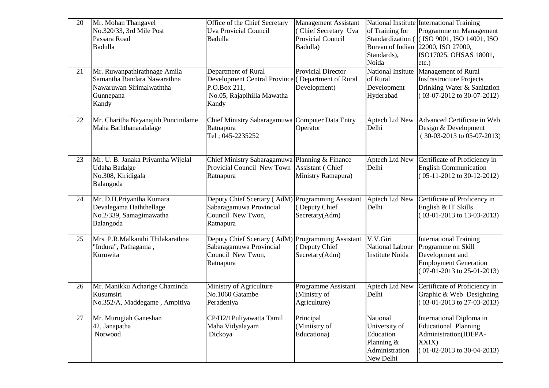| 20<br>21 | Mr. Mohan Thangavel<br>No.320/33, 3rd Mile Post<br>Passara Road<br>Badulla<br>Mr. Ruwanpathirathnage Amila<br>Samantha Bandara Nawarathna<br>Nawaruwan Sirimalwaththa<br>Gunnepana<br>Kandy | Office of the Chief Secretary<br><b>Uva Provicial Council</b><br>Badulla<br>Department of Rural<br>Development Central Province <sup>[</sup> (Department of Rural<br>P.O.Box 211,<br>No.05, Rajapihilla Mawatha<br>Kandy | <b>Management Assistant</b><br>Chief Secretary Uva<br>Provicial Council<br>Badulla)<br><b>Provicial Director</b><br>Development) | of Training for<br><b>Bureau of Indian</b><br>Standards),<br>Noida<br><b>National Insitute</b><br>of Rural<br>Development<br>Hyderabad | National Institute International Training<br>Programme on Management<br>Standardization ( (ISO 9001, ISO 14001, ISO<br>22000, ISO 27000,<br>ISO17025, OHSAS 18001,<br>$etc.$ )<br>Management of Rural<br><b>Insfrastructure Projects</b><br>Drinking Water & Sanitation<br>$(03-07-2012 \text{ to } 30-07-2012)$ |
|----------|---------------------------------------------------------------------------------------------------------------------------------------------------------------------------------------------|--------------------------------------------------------------------------------------------------------------------------------------------------------------------------------------------------------------------------|----------------------------------------------------------------------------------------------------------------------------------|----------------------------------------------------------------------------------------------------------------------------------------|------------------------------------------------------------------------------------------------------------------------------------------------------------------------------------------------------------------------------------------------------------------------------------------------------------------|
| 22       | Mr. Charitha Nayanajith Puncinilame<br>Maha Baththanaralalage                                                                                                                               | Chief Ministry Sabaragamuwa Computer Data Entry<br>Ratnapura<br>Tel; 045-2235252                                                                                                                                         | Operator                                                                                                                         | Aptech Ltd New<br>Delhi                                                                                                                | Advanced Certificate in Web<br>Design & Development<br>$(30-03-2013$ to $05-07-2013)$                                                                                                                                                                                                                            |
| 23       | Mr. U. B. Janaka Priyantha Wijelal<br>Udaha Badalge<br>No.308, Kiridigala<br>Balangoda                                                                                                      | Chief Ministry Sabaragamuwa Planning & Finance<br>Provicial Council New Town Assistant (Chief<br>Ratnapura                                                                                                               | Ministry Ratnapura)                                                                                                              | Aptech Ltd New<br>Delhi                                                                                                                | Certificate of Proficiency in<br><b>English Communication</b><br>$(05-11-2012$ to 30-12-2012)                                                                                                                                                                                                                    |
| 24       | Mr. D.H.Priyantha Kumara<br>Devalegama Haththellage<br>No.2/339, Samagimawatha<br>Balangoda                                                                                                 | Deputy Chief Scertary (AdM) Programming Assistant<br>Sabaragamuwa Provincial<br>Council New Twon,<br>Ratnapura                                                                                                           | (Deputy Chief<br>Secretary(Adm)                                                                                                  | <b>Aptech Ltd New</b><br>Delhi                                                                                                         | Certificate of Proficency in<br>English & IT Skills<br>$(03-01-2013$ to 13-03-2013)                                                                                                                                                                                                                              |
| 25       | Mrs. P.R.Malkanthi Thilakarathna<br>"Indura", Pathagama,<br>Kuruwita                                                                                                                        | Deputy Chief Scertary (AdM) Programming Assistant<br>Sabaragamuwa Provincial<br>Council New Twon,<br>Ratnapura                                                                                                           | (Deputy Chief<br>Secretary(Adm)                                                                                                  | V.V.Giri<br>National Labour<br>Institute Noida                                                                                         | <b>International Training</b><br>Programme on Skill<br>Development and<br><b>Employment Generation</b><br>$(07-01-2013$ to 25-01-2013)                                                                                                                                                                           |
| 26       | Mr. Manikku Acharige Chaminda<br>Kusumsiri<br>No.352/A, Maddegame, Ampitiya                                                                                                                 | Ministry of Agriculture<br>No.1060 Gatambe<br>Peradeniya                                                                                                                                                                 | Programme Assistant<br>(Ministry of<br>Agriculture)                                                                              | Aptech Ltd New<br>Delhi                                                                                                                | Certificate of Proficiency in<br>Graphic & Web Desighning<br>$(03-01-2013$ to 27-03-2013)                                                                                                                                                                                                                        |
| 27       | Mr. Murugiah Ganeshan<br>42, Janapatha<br>Norwood                                                                                                                                           | CP/H2/1Puliyawatta Tamil<br>Maha Vidyalayam<br>Dickoya                                                                                                                                                                   | Principal<br>(Miniistry of<br>Educationa)                                                                                        | National<br>University of<br>Education<br>Planning $&$<br>Administration<br>New Delhi                                                  | International Diploma in<br><b>Educational Planning</b><br>Administration(IDEPA-<br>XXIX)<br>$(01-02-2013)$ to 30-04-2013)                                                                                                                                                                                       |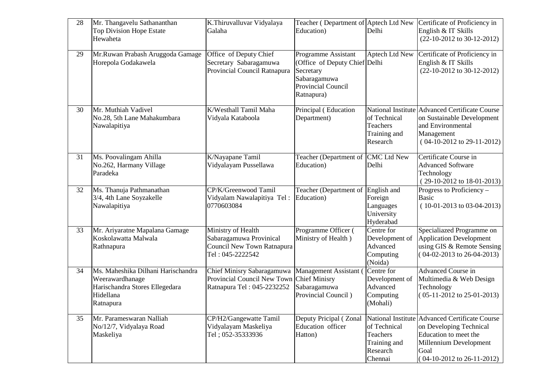| 28 | Mr. Thangavelu Sathananthan<br>Top Division Hope Estate<br>Hewaheta                                               | K.Thiruvalluvar Vidyalaya<br>Galaha                                                                   | Teacher (Department of Aptech Ltd New<br>Education)                                                                   | Delhi                                                             | Certificate of Proficiency in<br>English & IT Skills<br>$(22-10-2012$ to 30-12-2012)                                                                                          |
|----|-------------------------------------------------------------------------------------------------------------------|-------------------------------------------------------------------------------------------------------|-----------------------------------------------------------------------------------------------------------------------|-------------------------------------------------------------------|-------------------------------------------------------------------------------------------------------------------------------------------------------------------------------|
| 29 | Mr.Ruwan Prabash Aruggoda Gamage<br>Horepola Godakawela                                                           | Office of Deputy Chief<br>Secretary Sabaragamuwa<br>Provincial Council Ratnapura                      | Programme Assistant<br>(Office of Deputy Chief Delhi<br>Secretary<br>Sabaragamuwa<br>Provincial Council<br>Ratnapura) | Aptech Ltd New                                                    | Certificate of Proficiency in<br>English & IT Skills<br>$(22-10-2012$ to 30-12-2012)                                                                                          |
| 30 | Mr. Muthiah Vadivel<br>No.28, 5th Lane Mahakumbara<br>Nawalapitiya                                                | K/Westhall Tamil Maha<br>Vidyala Kataboola                                                            | Principal (Education<br>Department)                                                                                   | of Technical<br>Teachers<br>Training and<br>Research              | National Institute Advanced Certificate Course<br>on Sustainable Development<br>and Environmental<br>Management<br>$(04-10-2012 \text{ to } 29-11-2012)$                      |
| 31 | Ms. Poovalingam Ahilla<br>No.262, Harmany Village<br>Paradeka                                                     | K/Nayapane Tamil<br>Vidyalayam Pussellawa                                                             | Teacher (Department of CMC Ltd New<br>Education)                                                                      | Delhi                                                             | Certificate Course in<br><b>Advanced Software</b><br>Technology<br>$(29-10-2012 \text{ to } 18-01-2013)$                                                                      |
| 32 | Ms. Thanuja Pathmanathan<br>3/4, 4th Lane Soyzakelle<br>Nawalapitiya                                              | CP/K/Greenwood Tamil<br>Vidyalam Nawalapitiya Tel:<br>0770603084                                      | Teacher (Department of English and<br>Education)                                                                      | Foreign<br>Languages<br>University<br>Hyderabad                   | Progress to Proficiency -<br><b>Basic</b><br>$(10-01-2013$ to 03-04-2013)                                                                                                     |
| 33 | Mr. Ariyaratne Mapalana Gamage<br>Koskolawatta Malwala<br>Rathnapura                                              | Ministry of Health<br>Sabaragamuwa Provinical<br>Council New Town Ratnapura<br>Tel: 045-2222542       | Programme Officer (<br>Ministry of Health)                                                                            | Centre for<br>Development of<br>Advanced<br>Computing<br>(Noida)  | Specialiazed Programme on<br><b>Application Development</b><br>using GIS & Remote Sensing<br>$(04-02-2013$ to 26-04-2013)                                                     |
| 34 | Ms. Maheshika Dilhani Harischandra<br>Weerawardhanage<br>Harischandra Stores Ellegedara<br>Hidellana<br>Ratnapura | Chief Minisry Sabaragamuwa<br>Provincial Council New Town Chief Minisry<br>Ratnapura Tel: 045-2232252 | Management Assistant (<br>Sabaragamuwa<br>Provincial Council)                                                         | Centre for<br>Development of<br>Advanced<br>Computing<br>(Mohali) | Advanced Course in<br>Multimedia & Web Design<br>Technology<br>$(05-11-2012$ to 25-01-2013)                                                                                   |
| 35 | Mr. Parameswaran Nalliah<br>No/12/7, Vidyalaya Road<br>Maskeliya                                                  | CP/H2/Gangewatte Tamil<br>Vidyalayam Maskeliya<br>Tel; 052-35333936                                   | Deputy Pricipal (Zonal<br>Education officer<br>Hatton)                                                                | of Technical<br>Teachers<br>Training and<br>Research<br>Chennai   | National Institute Advanced Certificate Course<br>on Developing Technical<br>Education to meet the<br>Millennium Development<br>Goal<br>$(04-10-2012 \text{ to } 26-11-2012)$ |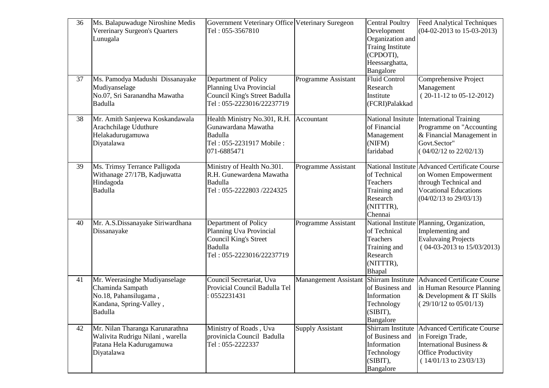| 36 | Ms. Balapuwaduge Niroshine Medis<br>Vererinary Surgeon's Quarters<br>Lunugala                                    | Government Veterinary Office Veterinary Suregeon<br>Tel: 055-3567810                                                           |                              | <b>Central Poultry</b><br>Development<br>Organization and<br><b>Traing Institute</b><br>(CPDOTI),<br>Heessarghatta,<br>Bangalore | <b>Feed Analytical Techniques</b><br>$(04-02-2013$ to 15-03-2013)                                                                                           |
|----|------------------------------------------------------------------------------------------------------------------|--------------------------------------------------------------------------------------------------------------------------------|------------------------------|----------------------------------------------------------------------------------------------------------------------------------|-------------------------------------------------------------------------------------------------------------------------------------------------------------|
| 37 | Ms. Pamodya Madushi Dissanayake<br>Mudiyanselage<br>No.07, Sri Saranandha Mawatha<br>Badulla                     | Department of Policy<br>Planning Uva Provincial<br>Council King's Street Badulla<br>Tel: 055-2223016/22237719                  | Programme Assistant          | <b>Fluid Control</b><br>Research<br>Institute<br>(FCRI)Palakkad                                                                  | Comprehensive Project<br>Management<br>$(20-11-12 \text{ to } 05-12-2012)$                                                                                  |
| 38 | Mr. Amith Sanjeewa Koskandawala<br>Arachchilage Uduthure<br>Helakadurugamuwa<br>Diyatalawa                       | Health Ministry No.301, R.H.<br>Gunawardana Mawatha<br>Badulla<br>Tel: 055-2231917 Mobile:<br>071-6885471                      | Accountant                   | of Financial<br>Management<br>(NIFM)<br>faridabad                                                                                | National Insitute International Training<br>Programme on "Accounting<br>& Financial Management in<br>Govt.Sector"<br>$(04/02/12$ to $22/02/13)$             |
| 39 | Ms. Trimsy Terrance Palligoda<br>Withanage 27/17B, Kadjuwatta<br>Hindagoda<br>Badulla                            | Ministry of Health No.301.<br>R.H. Gunewardena Mawatha<br>Badulla<br>Tel: 055-2222803/2224325                                  | Programme Assistant          | of Technical<br>Teachers<br>Training and<br>Research<br>(NITTTR),<br>Chennai                                                     | National Institute Advanced Certificate Course<br>on Women Empowerment<br>through Technical and<br><b>Vocational Educations</b><br>$(04/02/13$ to 29/03/13) |
| 40 | Mr. A.S.Dissanayake Siriwardhana<br>Dissanayake                                                                  | Department of Policy<br>Planning Uva Provincial<br><b>Council King's Street</b><br><b>Badulla</b><br>Tel: 055-2223016/22237719 | Programme Assistant          | National Institute<br>of Technical<br>Teachers<br>Training and<br>Research<br>(NITTTR),<br>Bhapal                                | Planning, Organization,<br>Implementing and<br><b>Evaluvaing Projects</b><br>(04-03-2013 to 15/03/2013)                                                     |
| 41 | Mr. Weerasinghe Mudiyanselage<br>Chaminda Sampath<br>No.18, Pahansilugama,<br>Kandana, Spring-Valley,<br>Badulla | Council Secretariat, Uva<br>Provicial Council Badulla Tel<br>0552231431                                                        | <b>Manangement Assistant</b> | Shirram Institute<br>of Business and<br>Information<br>Technology<br>$(SIBIT)$ ,<br>Bangalore                                    | <b>Advanced Certificate Course</b><br>in Human Resource Planning<br>& Development & IT Skills<br>$(29/10/12$ to $05/01/13)$                                 |
| 42 | Mr. Nilan Tharanga Karunarathna<br>Walivita Rudrigu Nilani, warella<br>Patana Hela Kadurugamuwa<br>Diyatalawa    | Ministry of Roads, Uva<br>provinicla Council Badulla<br>Tel: 055-2222337                                                       | <b>Supply Assistant</b>      | Shirram Institute<br>of Business and<br>Information<br>Technology<br>(SIBIT),<br>Bangalore                                       | <b>Advanced Certificate Course</b><br>in Foreign Trade,<br>International Business &<br><b>Office Productivity</b><br>$(14/01/13$ to 23/03/13)               |